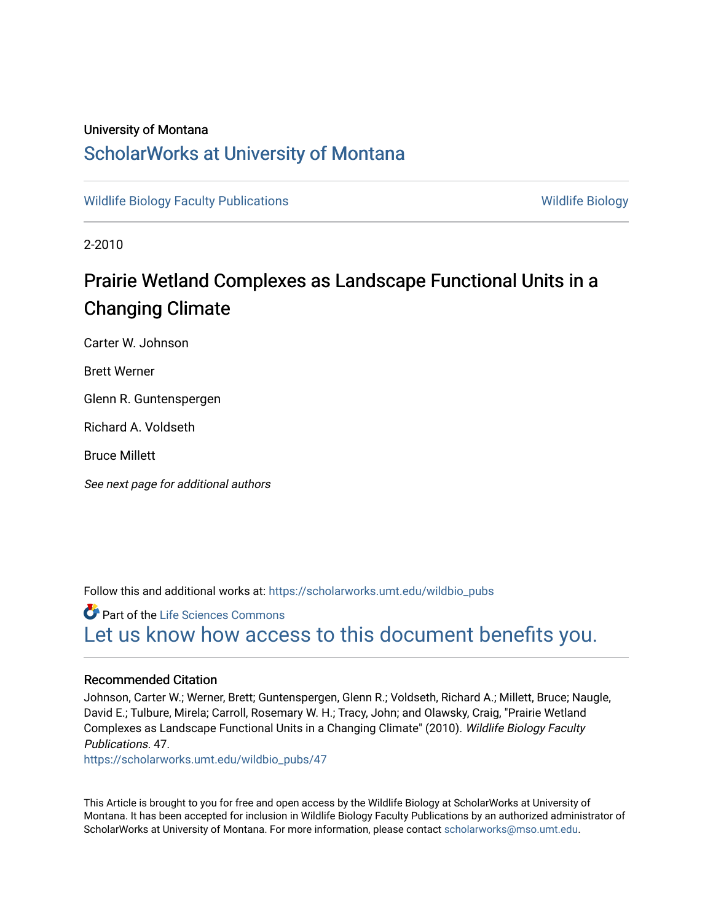# University of Montana

# [ScholarWorks at University of Montana](https://scholarworks.umt.edu/)

[Wildlife Biology Faculty Publications](https://scholarworks.umt.edu/wildbio_pubs) Noting the Mildlife Biology of Mildlife Biology

2-2010

# Prairie Wetland Complexes as Landscape Functional Units in a Changing Climate

Carter W. Johnson

Brett Werner

Glenn R. Guntenspergen

Richard A. Voldseth

Bruce Millett

See next page for additional authors

Follow this and additional works at: [https://scholarworks.umt.edu/wildbio\\_pubs](https://scholarworks.umt.edu/wildbio_pubs?utm_source=scholarworks.umt.edu%2Fwildbio_pubs%2F47&utm_medium=PDF&utm_campaign=PDFCoverPages) 

# **C** Part of the Life Sciences Commons [Let us know how access to this document benefits you.](https://goo.gl/forms/s2rGfXOLzz71qgsB2)

## Recommended Citation

Johnson, Carter W.; Werner, Brett; Guntenspergen, Glenn R.; Voldseth, Richard A.; Millett, Bruce; Naugle, David E.; Tulbure, Mirela; Carroll, Rosemary W. H.; Tracy, John; and Olawsky, Craig, "Prairie Wetland Complexes as Landscape Functional Units in a Changing Climate" (2010). Wildlife Biology Faculty Publications. 47.

[https://scholarworks.umt.edu/wildbio\\_pubs/47](https://scholarworks.umt.edu/wildbio_pubs/47?utm_source=scholarworks.umt.edu%2Fwildbio_pubs%2F47&utm_medium=PDF&utm_campaign=PDFCoverPages) 

This Article is brought to you for free and open access by the Wildlife Biology at ScholarWorks at University of Montana. It has been accepted for inclusion in Wildlife Biology Faculty Publications by an authorized administrator of ScholarWorks at University of Montana. For more information, please contact [scholarworks@mso.umt.edu.](mailto:scholarworks@mso.umt.edu)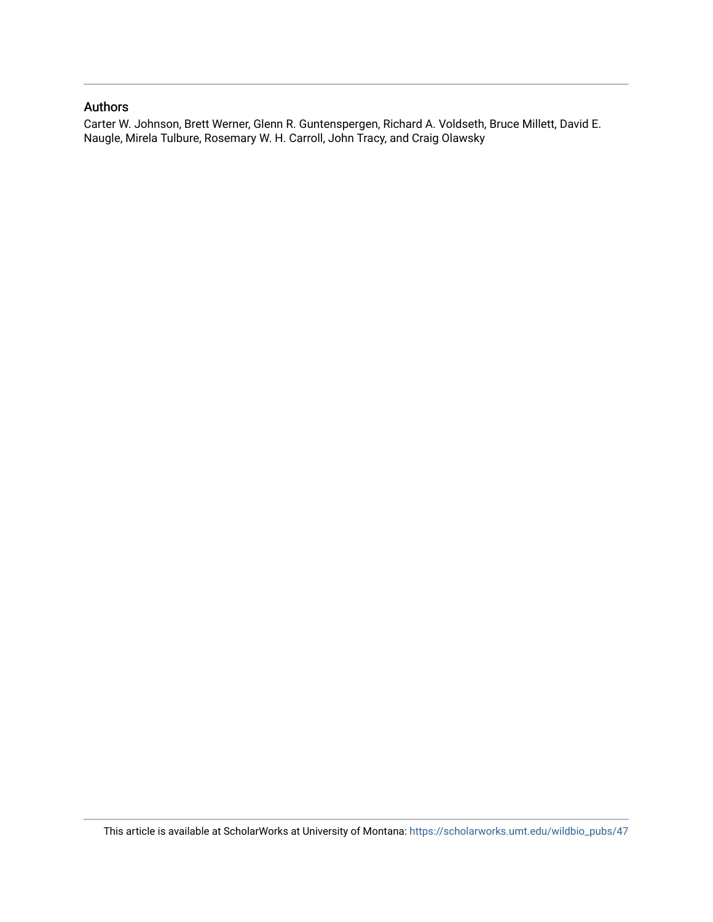# Authors

Carter W. Johnson, Brett Werner, Glenn R. Guntenspergen, Richard A. Voldseth, Bruce Millett, David E. Naugle, Mirela Tulbure, Rosemary W. H. Carroll, John Tracy, and Craig Olawsky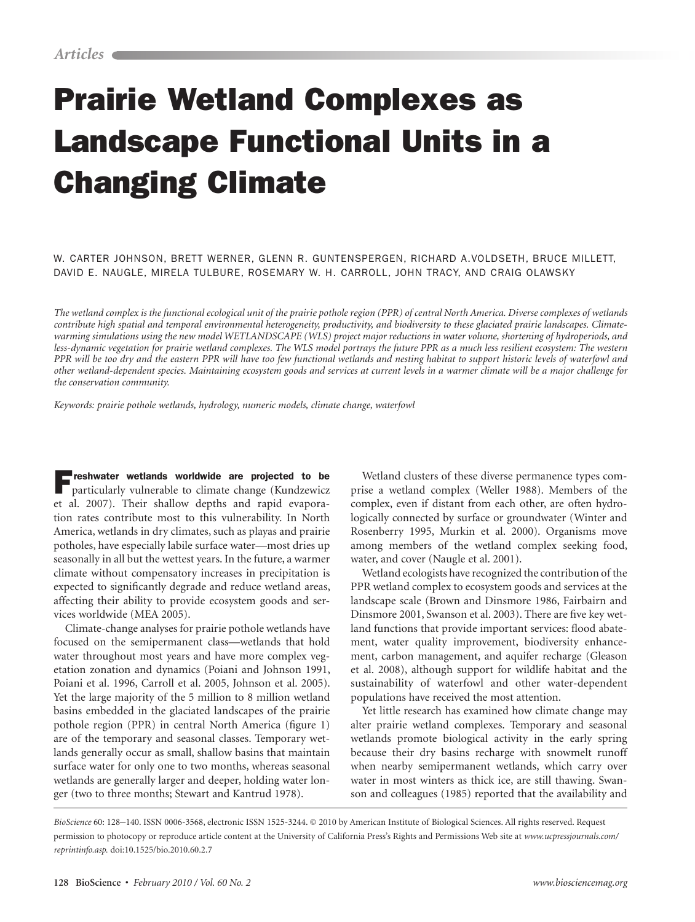# Prairie Wetland Complexes as Landscape Functional Units in a Changing Climate

W. Carter Johnson, Brett Werner, Glenn R. Guntenspergen, Richard A.Voldseth, Bruce Millett, David E. Naugle, Mirela Tulbure, Rosemary W. H. Carroll, John Tracy, and Craig Olawsky

*The wetland complex is the functional ecological unit of the prairie pothole region (PPR) of central North America. Diverse complexes of wetlands contribute high spatial and temporal environmental heterogeneity, productivity, and biodiversity to these glaciated prairie landscapes. Climatewarming simulations using the new model WETLANDSCAPE (WLS) project major reductions in water volume, shortening of hydroperiods, and*  less-dynamic vegetation for prairie wetland complexes. The WLS model portrays the future PPR as a much less resilient ecosystem: The western *PPR will be too dry and the eastern PPR will have too few functional wetlands and nesting habitat to support historic levels of waterfowl and other wetland-dependent species. Maintaining ecosystem goods and services at current levels in a warmer climate will be a major challenge for the conservation community.* 

*Keywords: prairie pothole wetlands, hydrology, numeric models, climate change, waterfowl*

Freshwater wetlands worldwide are projected to be particularly vulnerable to climate change (Kundzewicz et al. 2007). Their shallow depths and rapid evaporation rates contribute most to this vulnerability. In North America, wetlands in dry climates, such as playas and prairie potholes, have especially labile surface water—most dries up seasonally in all but the wettest years. In the future, a warmer climate without compensatory increases in precipitation is expected to significantly degrade and reduce wetland areas, affecting their ability to provide ecosystem goods and services worldwide (MEA 2005).

Climate-change analyses for prairie pothole wetlands have focused on the semipermanent class—wetlands that hold water throughout most years and have more complex vegetation zonation and dynamics (Poiani and Johnson 1991, Poiani et al. 1996, Carroll et al. 2005, Johnson et al. 2005). Yet the large majority of the 5 million to 8 million wetland basins embedded in the glaciated landscapes of the prairie pothole region (PPR) in central North America (figure 1) are of the temporary and seasonal classes. Temporary wetlands generally occur as small, shallow basins that maintain surface water for only one to two months, whereas seasonal wetlands are generally larger and deeper, holding water longer (two to three months; Stewart and Kantrud 1978).

Wetland clusters of these diverse permanence types comprise a wetland complex (Weller 1988). Members of the complex, even if distant from each other, are often hydrologically connected by surface or groundwater (Winter and Rosenberry 1995, Murkin et al. 2000). Organisms move among members of the wetland complex seeking food, water, and cover (Naugle et al. 2001).

Wetland ecologists have recognized the contribution of the PPR wetland complex to ecosystem goods and services at the landscape scale (Brown and Dinsmore 1986, Fairbairn and Dinsmore 2001, Swanson et al. 2003). There are five key wetland functions that provide important services: flood abatement, water quality improvement, biodiversity enhancement, carbon management, and aquifer recharge (Gleason et al. 2008), although support for wildlife habitat and the sustainability of waterfowl and other water-dependent populations have received the most attention.

Yet little research has examined how climate change may alter prairie wetland complexes. Temporary and seasonal wetlands promote biological activity in the early spring because their dry basins recharge with snowmelt runoff when nearby semipermanent wetlands, which carry over water in most winters as thick ice, are still thawing. Swanson and colleagues (1985) reported that the availability and

*BioScience* 60: 128–140. ISSN 0006-3568, electronic ISSN 1525-3244. © 2010 by American Institute of Biological Sciences. All rights reserved. Request permission to photocopy or reproduce article content at the University of California Press's Rights and Permissions Web site at *www.ucpressjournals.com/ reprintinfo.asp.* doi:10.1525/bio.2010.60.2.7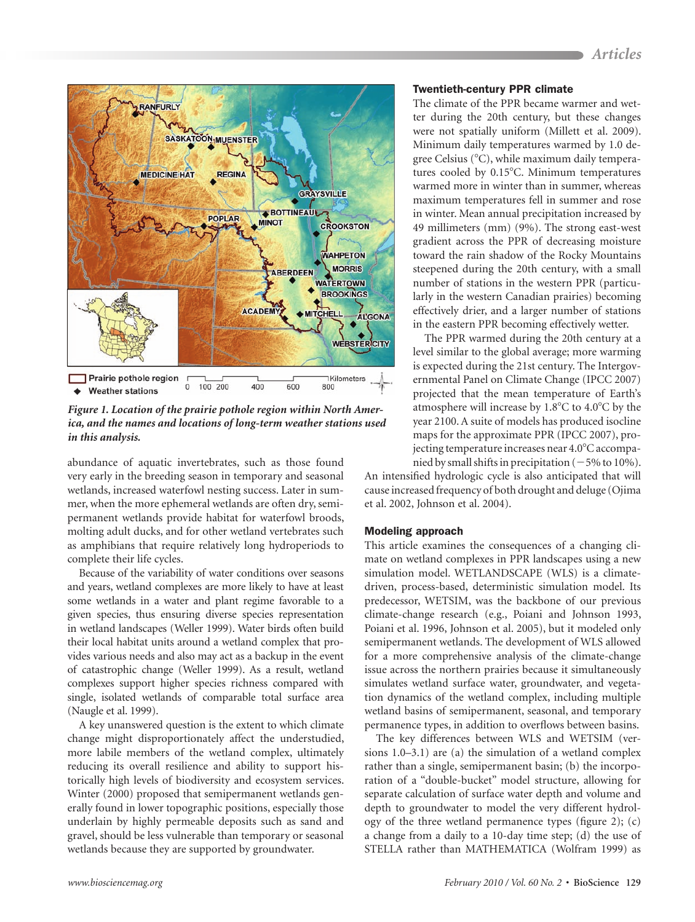

*Figure 1. Location of the prairie pothole region within North America, and the names and locations of long-term weather stations used in this analysis.*

abundance of aquatic invertebrates, such as those found very early in the breeding season in temporary and seasonal wetlands, increased waterfowl nesting success. Later in summer, when the more ephemeral wetlands are often dry, semipermanent wetlands provide habitat for waterfowl broods, molting adult ducks, and for other wetland vertebrates such as amphibians that require relatively long hydroperiods to complete their life cycles.

Because of the variability of water conditions over seasons and years, wetland complexes are more likely to have at least some wetlands in a water and plant regime favorable to a given species, thus ensuring diverse species representation in wetland landscapes (Weller 1999). Water birds often build their local habitat units around a wetland complex that provides various needs and also may act as a backup in the event of catastrophic change (Weller 1999). As a result, wetland complexes support higher species richness compared with single, isolated wetlands of comparable total surface area (Naugle et al. 1999).

A key unanswered question is the extent to which climate change might disproportionately affect the understudied, more labile members of the wetland complex, ultimately reducing its overall resilience and ability to support historically high levels of biodiversity and ecosystem services. Winter (2000) proposed that semipermanent wetlands generally found in lower topographic positions, especially those underlain by highly permeable deposits such as sand and gravel, should be less vulnerable than temporary or seasonal wetlands because they are supported by groundwater.

## Twentieth-century PPR climate

The climate of the PPR became warmer and wetter during the 20th century, but these changes were not spatially uniform (Millett et al. 2009). Minimum daily temperatures warmed by 1.0 degree Celsius  $(^\circ C)$ , while maximum daily temperatures cooled by 0.15°C. Minimum temperatures warmed more in winter than in summer, whereas maximum temperatures fell in summer and rose in winter. Mean annual precipitation increased by 49 millimeters (mm) (9%). The strong east-west gradient across the PPR of decreasing moisture toward the rain shadow of the Rocky Mountains steepened during the 20th century, with a small number of stations in the western PPR (particularly in the western Canadian prairies) becoming effectively drier, and a larger number of stations in the eastern PPR becoming effectively wetter.

The PPR warmed during the 20th century at a level similar to the global average; more warming is expected during the 21st century. The Intergovernmental Panel on Climate Change (IPCC 2007) projected that the mean temperature of Earth's atmosphere will increase by  $1.8^{\circ}$ C to  $4.0^{\circ}$ C by the year 2100. A suite of models has produced isocline maps for the approximate PPR (IPCC 2007), projecting temperature increases near  $4.0^{\circ}$ C accompanied by small shifts in precipitation  $(-5\% \text{ to } 10\%).$ 

An intensified hydrologic cycle is also anticipated that will cause increased frequency of both drought and deluge (Ojima et al. 2002, Johnson et al. 2004).

#### Modeling approach

This article examines the consequences of a changing climate on wetland complexes in PPR landscapes using a new simulation model. WETLANDSCAPE (WLS) is a climatedriven, process-based, deterministic simulation model. Its predecessor, WETSIM, was the backbone of our previous climate-change research (e.g., Poiani and Johnson 1993, Poiani et al. 1996, Johnson et al. 2005), but it modeled only semipermanent wetlands. The development of WLS allowed for a more comprehensive analysis of the climate-change issue across the northern prairies because it simultaneously simulates wetland surface water, groundwater, and vegetation dynamics of the wetland complex, including multiple wetland basins of semipermanent, seasonal, and temporary permanence types, in addition to overflows between basins.

The key differences between WLS and WETSIM (versions 1.0–3.1) are (a) the simulation of a wetland complex rather than a single, semipermanent basin; (b) the incorporation of a "double-bucket" model structure, allowing for separate calculation of surface water depth and volume and depth to groundwater to model the very different hydrology of the three wetland permanence types (figure 2); (c) a change from a daily to a 10-day time step; (d) the use of STELLA rather than MATHEMATICA (Wolfram 1999) as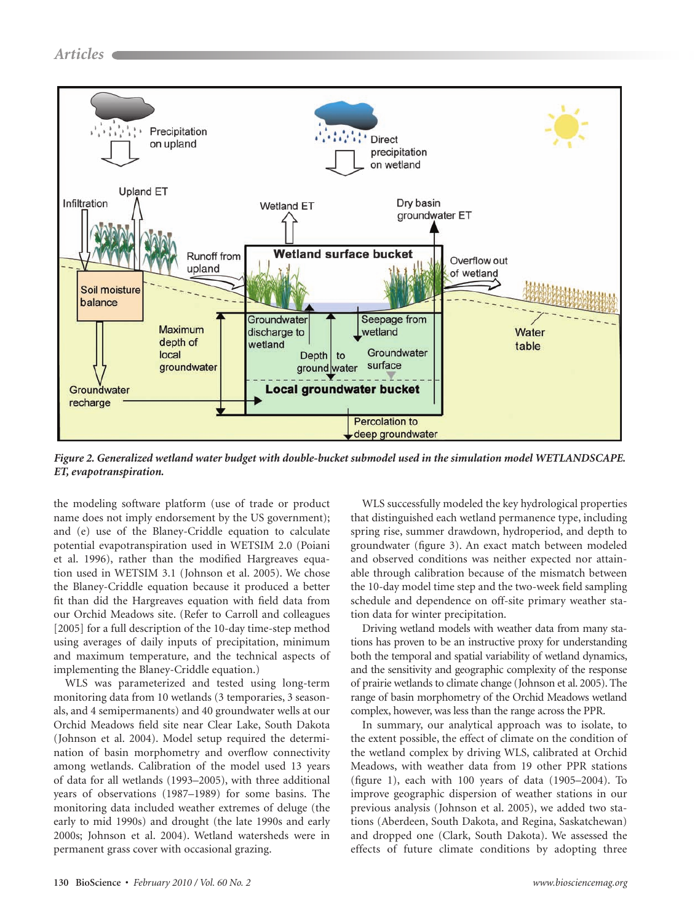

*Figure 2. Generalized wetland water budget with double-bucket submodel used in the simulation model WETLANDSCAPE. ET, evapotranspiration.*

the modeling software platform (use of trade or product name does not imply endorsement by the US government); and (e) use of the Blaney-Criddle equation to calculate potential evapotranspiration used in WETSIM 2.0 (Poiani et al. 1996), rather than the modified Hargreaves equation used in WETSIM 3.1 (Johnson et al. 2005). We chose the Blaney-Criddle equation because it produced a better fit than did the Hargreaves equation with field data from our Orchid Meadows site. (Refer to Carroll and colleagues [2005] for a full description of the 10-day time-step method using averages of daily inputs of precipitation, minimum and maximum temperature, and the technical aspects of implementing the Blaney-Criddle equation.)

WLS was parameterized and tested using long-term monitoring data from 10 wetlands (3 temporaries, 3 seasonals, and 4 semipermanents) and 40 groundwater wells at our Orchid Meadows field site near Clear Lake, South Dakota (Johnson et al. 2004). Model setup required the determination of basin morphometry and overflow connectivity among wetlands. Calibration of the model used 13 years of data for all wetlands (1993–2005), with three additional years of observations (1987–1989) for some basins. The monitoring data included weather extremes of deluge (the early to mid 1990s) and drought (the late 1990s and early 2000s; Johnson et al. 2004). Wetland watersheds were in permanent grass cover with occasional grazing.

WLS successfully modeled the key hydrological properties that distinguished each wetland permanence type, including spring rise, summer drawdown, hydroperiod, and depth to groundwater (figure 3). An exact match between modeled and observed conditions was neither expected nor attainable through calibration because of the mismatch between the 10-day model time step and the two-week field sampling schedule and dependence on off-site primary weather station data for winter precipitation.

Driving wetland models with weather data from many stations has proven to be an instructive proxy for understanding both the temporal and spatial variability of wetland dynamics, and the sensitivity and geographic complexity of the response of prairie wetlands to climate change (Johnson et al. 2005). The range of basin morphometry of the Orchid Meadows wetland complex, however, was less than the range across the PPR.

In summary, our analytical approach was to isolate, to the extent possible, the effect of climate on the condition of the wetland complex by driving WLS, calibrated at Orchid Meadows, with weather data from 19 other PPR stations (figure 1), each with 100 years of data (1905–2004). To improve geographic dispersion of weather stations in our previous analysis (Johnson et al. 2005), we added two stations (Aberdeen, South Dakota, and Regina, Saskatchewan) and dropped one (Clark, South Dakota). We assessed the effects of future climate conditions by adopting three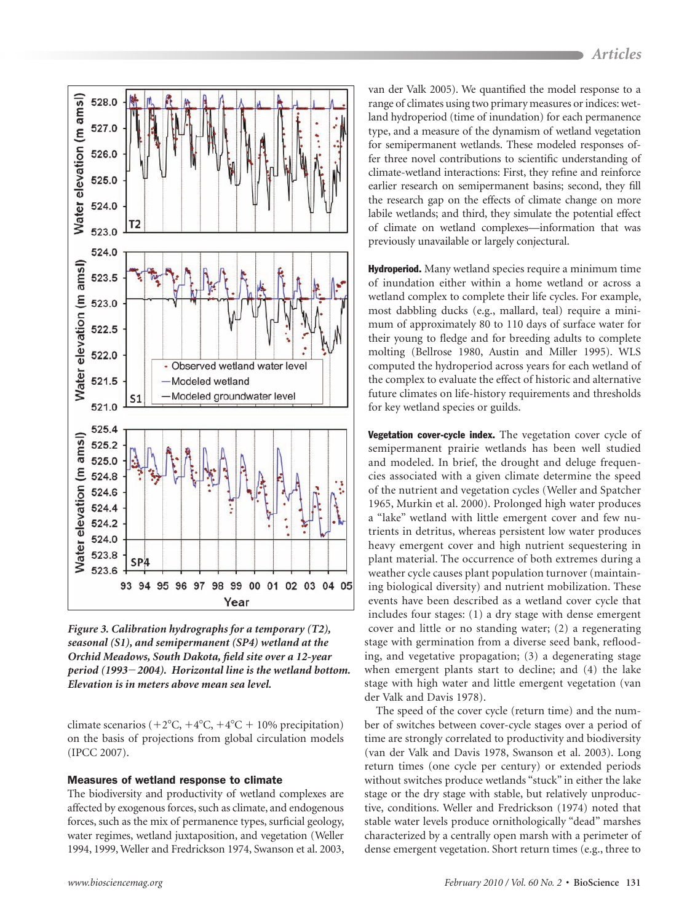

*Figure 3. Calibration hydrographs for a temporary (T2), seasonal (S1), and semipermanent (SP4) wetland at the Orchid Meadows, South Dakota, field site over a 12-year period (19932004). Horizontal line is the wetland bottom. Elevation is in meters above mean sea level.*

climate scenarios ( $+2^{\circ}C$ ,  $+4^{\circ}C$ ,  $+4^{\circ}C + 10\%$  precipitation) on the basis of projections from global circulation models (IPCC 2007).

#### Measures of wetland response to climate

The biodiversity and productivity of wetland complexes are affected by exogenous forces, such as climate, and endogenous forces, such as the mix of permanence types, surficial geology, water regimes, wetland juxtaposition, and vegetation (Weller 1994, 1999, Weller and Fredrickson 1974, Swanson et al. 2003, van der Valk 2005). We quantified the model response to a range of climates using two primary measures or indices: wetland hydroperiod (time of inundation) for each permanence type, and a measure of the dynamism of wetland vegetation for semipermanent wetlands. These modeled responses offer three novel contributions to scientific understanding of climate-wetland interactions: First, they refine and reinforce earlier research on semipermanent basins; second, they fill the research gap on the effects of climate change on more labile wetlands; and third, they simulate the potential effect of climate on wetland complexes—information that was previously unavailable or largely conjectural.

**Hydroperiod.** Many wetland species require a minimum time of inundation either within a home wetland or across a wetland complex to complete their life cycles. For example, most dabbling ducks (e.g., mallard, teal) require a minimum of approximately 80 to 110 days of surface water for their young to fledge and for breeding adults to complete molting (Bellrose 1980, Austin and Miller 1995). WLS computed the hydroperiod across years for each wetland of the complex to evaluate the effect of historic and alternative future climates on life-history requirements and thresholds for key wetland species or guilds.

Vegetation cover-cycle index. The vegetation cover cycle of semipermanent prairie wetlands has been well studied and modeled. In brief, the drought and deluge frequencies associated with a given climate determine the speed of the nutrient and vegetation cycles (Weller and Spatcher 1965, Murkin et al. 2000). Prolonged high water produces a "lake" wetland with little emergent cover and few nutrients in detritus, whereas persistent low water produces heavy emergent cover and high nutrient sequestering in plant material. The occurrence of both extremes during a weather cycle causes plant population turnover (maintaining biological diversity) and nutrient mobilization. These events have been described as a wetland cover cycle that includes four stages: (1) a dry stage with dense emergent cover and little or no standing water; (2) a regenerating stage with germination from a diverse seed bank, reflooding, and vegetative propagation; (3) a degenerating stage when emergent plants start to decline; and (4) the lake stage with high water and little emergent vegetation (van der Valk and Davis 1978).

The speed of the cover cycle (return time) and the number of switches between cover-cycle stages over a period of time are strongly correlated to productivity and biodiversity (van der Valk and Davis 1978, Swanson et al. 2003). Long return times (one cycle per century) or extended periods without switches produce wetlands "stuck" in either the lake stage or the dry stage with stable, but relatively unproductive, conditions. Weller and Fredrickson (1974) noted that stable water levels produce ornithologically "dead" marshes characterized by a centrally open marsh with a perimeter of dense emergent vegetation. Short return times (e.g., three to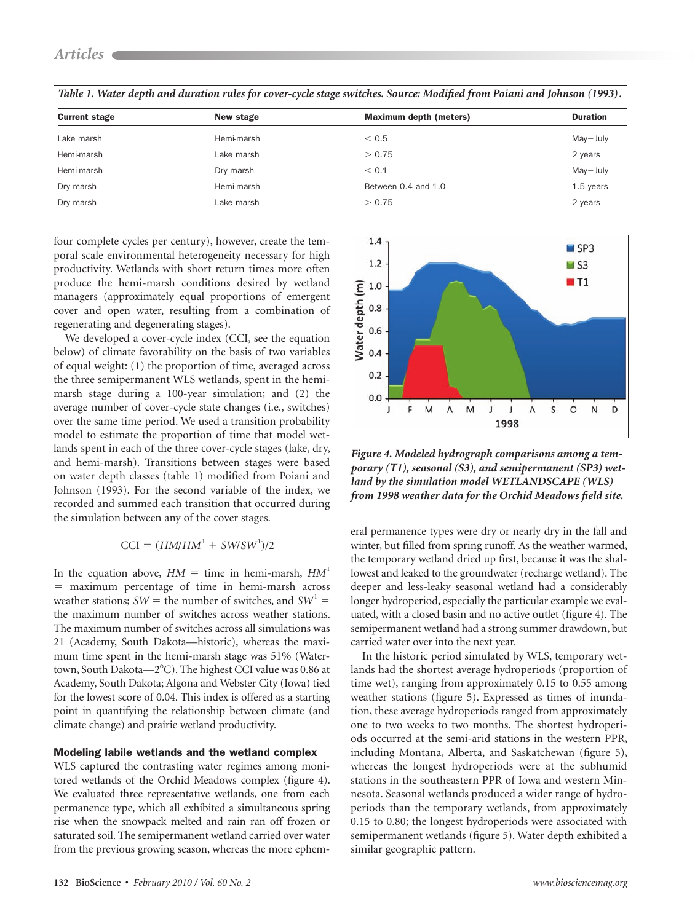| <b>Current stage</b> | New stage  | Maximum depth (meters) | <b>Duration</b> |
|----------------------|------------|------------------------|-----------------|
| Lake marsh           | Hemi-marsh | < 0.5                  | $May - July$    |
| Hemi-marsh           | Lake marsh | > 0.75                 | 2 years         |
| Hemi-marsh           | Dry marsh  | < 0.1                  | May-July        |
| Dry marsh            | Hemi-marsh | Between 0.4 and 1.0    | 1.5 years       |
| Dry marsh            | Lake marsh | > 0.75                 | 2 years         |

*Table 1. Water depth and duration rules for cover-cycle stage switches. Source: Modified from Poiani and Johnson (1993).*

four complete cycles per century), however, create the temporal scale environmental heterogeneity necessary for high productivity. Wetlands with short return times more often produce the hemi-marsh conditions desired by wetland managers (approximately equal proportions of emergent cover and open water, resulting from a combination of regenerating and degenerating stages).

We developed a cover-cycle index (CCI, see the equation below) of climate favorability on the basis of two variables of equal weight: (1) the proportion of time, averaged across the three semipermanent WLS wetlands, spent in the hemimarsh stage during a 100-year simulation; and (2) the average number of cover-cycle state changes (i.e., switches) over the same time period. We used a transition probability model to estimate the proportion of time that model wetlands spent in each of the three cover-cycle stages (lake, dry, and hemi-marsh). Transitions between stages were based on water depth classes (table 1) modified from Poiani and Johnson (1993). For the second variable of the index, we recorded and summed each transition that occurred during the simulation between any of the cover stages.

$$
CCI = (HM/HM1 + SW/SW1)/2
$$

In the equation above,  $HM =$  time in hemi-marsh,  $HM<sup>1</sup>$ 5 maximum percentage of time in hemi-marsh across weather stations;  $SW =$  the number of switches, and  $SW<sup>1</sup> =$ the maximum number of switches across weather stations. The maximum number of switches across all simulations was 21 (Academy, South Dakota—historic), whereas the maximum time spent in the hemi-marsh stage was 51% (Watertown, South Dakota—2°C). The highest CCI value was 0.86 at Academy, South Dakota; Algona and Webster City (Iowa) tied for the lowest score of 0.04. This index is offered as a starting point in quantifying the relationship between climate (and climate change) and prairie wetland productivity.

#### Modeling labile wetlands and the wetland complex

WLS captured the contrasting water regimes among monitored wetlands of the Orchid Meadows complex (figure 4). We evaluated three representative wetlands, one from each permanence type, which all exhibited a simultaneous spring rise when the snowpack melted and rain ran off frozen or saturated soil. The semipermanent wetland carried over water from the previous growing season, whereas the more ephem-



*Figure 4. Modeled hydrograph comparisons among a temporary (T1), seasonal (S3), and semipermanent (SP3) wetland by the simulation model WETLANDSCAPE (WLS) from 1998 weather data for the Orchid Meadows field site.*

eral permanence types were dry or nearly dry in the fall and winter, but filled from spring runoff. As the weather warmed, the temporary wetland dried up first, because it was the shallowest and leaked to the groundwater (recharge wetland). The deeper and less-leaky seasonal wetland had a considerably longer hydroperiod, especially the particular example we evaluated, with a closed basin and no active outlet (figure 4). The semipermanent wetland had a strong summer drawdown, but carried water over into the next year.

In the historic period simulated by WLS, temporary wetlands had the shortest average hydroperiods (proportion of time wet), ranging from approximately 0.15 to 0.55 among weather stations (figure 5). Expressed as times of inundation, these average hydroperiods ranged from approximately one to two weeks to two months. The shortest hydroperiods occurred at the semi-arid stations in the western PPR, including Montana, Alberta, and Saskatchewan (figure 5), whereas the longest hydroperiods were at the subhumid stations in the southeastern PPR of Iowa and western Minnesota. Seasonal wetlands produced a wider range of hydroperiods than the temporary wetlands, from approximately 0.15 to 0.80; the longest hydroperiods were associated with semipermanent wetlands (figure 5). Water depth exhibited a similar geographic pattern.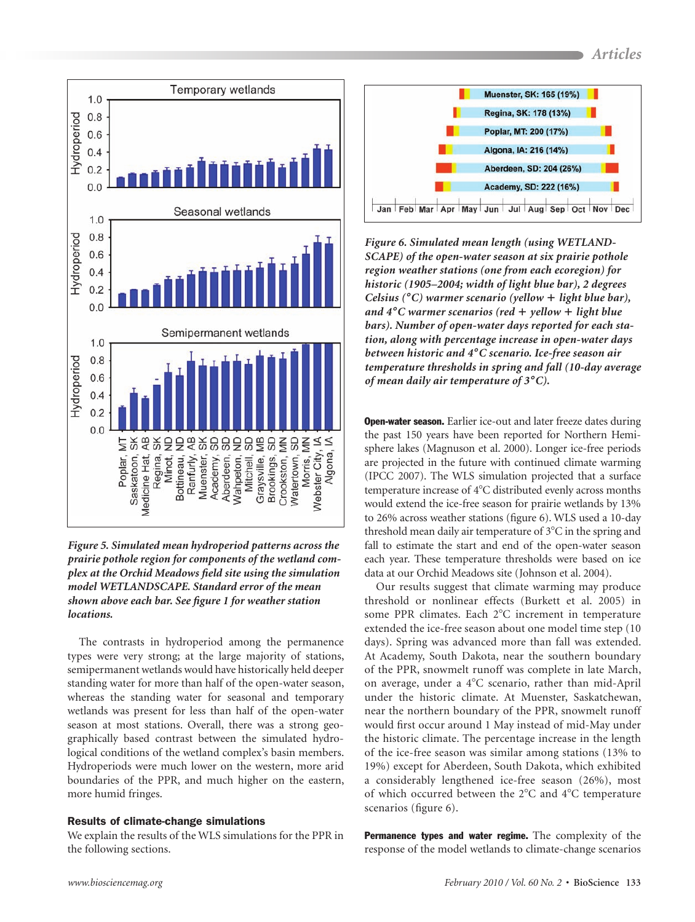



The contrasts in hydroperiod among the permanence types were very strong; at the large majority of stations, semipermanent wetlands would have historically held deeper standing water for more than half of the open-water season, whereas the standing water for seasonal and temporary wetlands was present for less than half of the open-water season at most stations. Overall, there was a strong geographically based contrast between the simulated hydrological conditions of the wetland complex's basin members. Hydroperiods were much lower on the western, more arid boundaries of the PPR, and much higher on the eastern, more humid fringes.

## Results of climate-change simulations

We explain the results of the WLS simulations for the PPR in the following sections.



*Figure 6. Simulated mean length (using WETLAND-SCAPE) of the open-water season at six prairie pothole region weather stations (one from each ecoregion) for historic (1905–2004; width of light blue bar), 2 degrees Celsius* (<sup> $\circ$ </sup>*C*) warmer scenario (yellow + light blue bar), *and*  $4^{\circ}$ C warmer scenarios (red + yellow + light blue *bars). Number of open-water days reported for each station, along with percentage increase in open-water days between historic and 4 8C scenario. Ice-free season air temperature thresholds in spring and fall (10-day average of mean daily air temperature of 3 8C).*

**Open-water season.** Earlier ice-out and later freeze dates during the past 150 years have been reported for Northern Hemisphere lakes (Magnuson et al. 2000). Longer ice-free periods are projected in the future with continued climate warming (IPCC 2007). The WLS simulation projected that a surface temperature increase of 4°C distributed evenly across months would extend the ice-free season for prairie wetlands by 13% to 26% across weather stations (figure 6). WLS used a 10-day threshold mean daily air temperature of  $3^{\circ}$ C in the spring and fall to estimate the start and end of the open-water season each year. These temperature thresholds were based on ice data at our Orchid Meadows site (Johnson et al. 2004).

Our results suggest that climate warming may produce threshold or nonlinear effects (Burkett et al. 2005) in some PPR climates. Each 2°C increment in temperature extended the ice-free season about one model time step (10 days). Spring was advanced more than fall was extended. At Academy, South Dakota, near the southern boundary of the PPR, snowmelt runoff was complete in late March, on average, under a 4°C scenario, rather than mid-April under the historic climate. At Muenster, Saskatchewan, near the northern boundary of the PPR, snowmelt runoff would first occur around 1 May instead of mid-May under the historic climate. The percentage increase in the length of the ice-free season was similar among stations (13% to 19%) except for Aberdeen, South Dakota, which exhibited a considerably lengthened ice-free season (26%), most of which occurred between the  $2^{\circ}$ C and  $4^{\circ}$ C temperature scenarios (figure 6).

Permanence types and water regime. The complexity of the response of the model wetlands to climate-change scenarios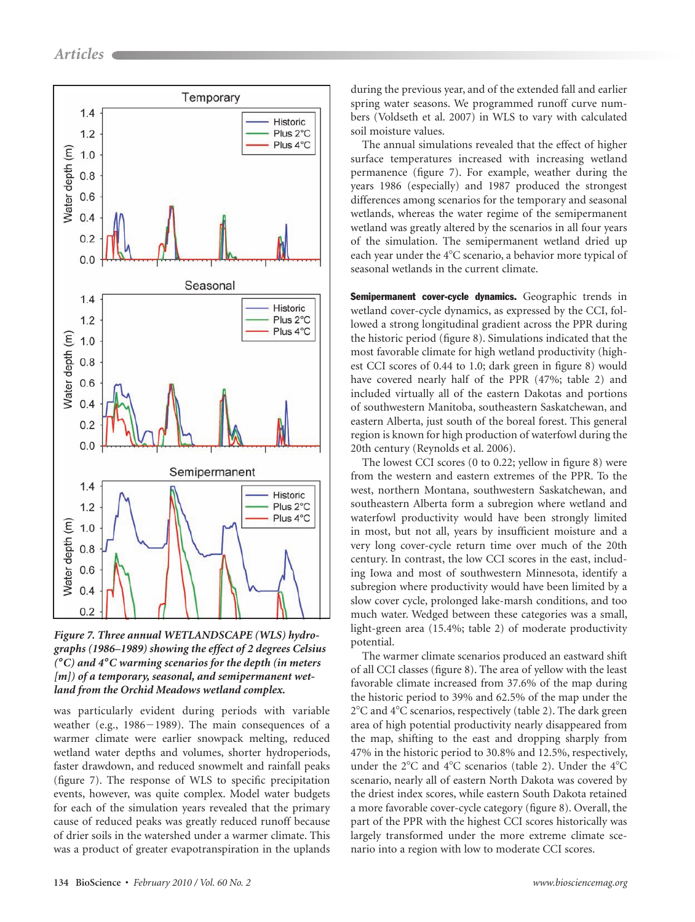

*Figure 7. Three annual WETLANDSCAPE (WLS) hydrographs (1986–1989) showing the effect of 2 degrees Celsius (8C) and 4 8C warming scenarios for the depth (in meters [m]) of a temporary, seasonal, and semipermanent wetland from the Orchid Meadows wetland complex.*

was particularly evident during periods with variable weather (e.g.,  $1986-1989$ ). The main consequences of a warmer climate were earlier snowpack melting, reduced wetland water depths and volumes, shorter hydroperiods, faster drawdown, and reduced snowmelt and rainfall peaks (figure 7). The response of WLS to specific precipitation events, however, was quite complex. Model water budgets for each of the simulation years revealed that the primary cause of reduced peaks was greatly reduced runoff because of drier soils in the watershed under a warmer climate. This was a product of greater evapotranspiration in the uplands during the previous year, and of the extended fall and earlier spring water seasons. We programmed runoff curve numbers (Voldseth et al. 2007) in WLS to vary with calculated soil moisture values.

The annual simulations revealed that the effect of higher surface temperatures increased with increasing wetland permanence (figure 7). For example, weather during the years 1986 (especially) and 1987 produced the strongest differences among scenarios for the temporary and seasonal wetlands, whereas the water regime of the semipermanent wetland was greatly altered by the scenarios in all four years of the simulation. The semipermanent wetland dried up each year under the 4°C scenario, a behavior more typical of seasonal wetlands in the current climate.

Semipermanent cover-cycle dynamics. Geographic trends in wetland cover-cycle dynamics, as expressed by the CCI, followed a strong longitudinal gradient across the PPR during the historic period (figure 8). Simulations indicated that the most favorable climate for high wetland productivity (highest CCI scores of 0.44 to 1.0; dark green in figure 8) would have covered nearly half of the PPR (47%; table 2) and included virtually all of the eastern Dakotas and portions of southwestern Manitoba, southeastern Saskatchewan, and eastern Alberta, just south of the boreal forest. This general region is known for high production of waterfowl during the 20th century (Reynolds et al. 2006).

The lowest CCI scores (0 to 0.22; yellow in figure 8) were from the western and eastern extremes of the PPR. To the west, northern Montana, southwestern Saskatchewan, and southeastern Alberta form a subregion where wetland and waterfowl productivity would have been strongly limited in most, but not all, years by insufficient moisture and a very long cover-cycle return time over much of the 20th century. In contrast, the low CCI scores in the east, including Iowa and most of southwestern Minnesota, identify a subregion where productivity would have been limited by a slow cover cycle, prolonged lake-marsh conditions, and too much water. Wedged between these categories was a small, light-green area (15.4%; table 2) of moderate productivity potential.

The warmer climate scenarios produced an eastward shift of all CCI classes (figure 8). The area of yellow with the least favorable climate increased from 37.6% of the map during the historic period to 39% and 62.5% of the map under the 2°C and 4°C scenarios, respectively (table 2). The dark green area of high potential productivity nearly disappeared from the map, shifting to the east and dropping sharply from 47% in the historic period to 30.8% and 12.5%, respectively, under the  $2^{\circ}$ C and  $4^{\circ}$ C scenarios (table 2). Under the  $4^{\circ}$ C scenario, nearly all of eastern North Dakota was covered by the driest index scores, while eastern South Dakota retained a more favorable cover-cycle category (figure 8). Overall, the part of the PPR with the highest CCI scores historically was largely transformed under the more extreme climate scenario into a region with low to moderate CCI scores.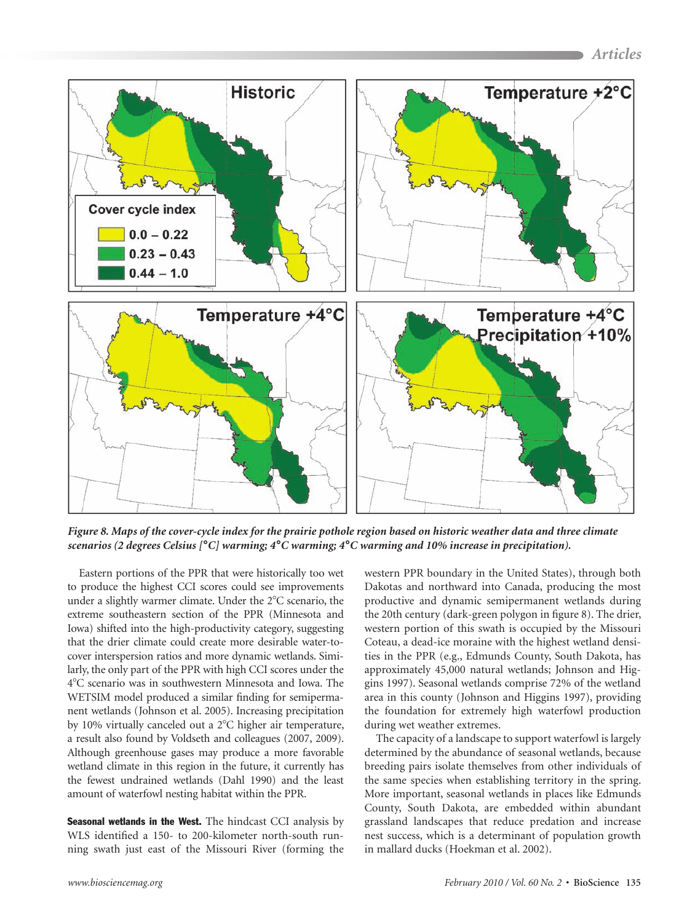

*Figure 8. Maps of the cover-cycle index for the prairie pothole region based on historic weather data and three climate scenarios (2 degrees Celsius [***8***C] warming; 4* **8***C warming; 4* **8***C warming and 10% increase in precipitation).* 

Eastern portions of the PPR that were historically too wet to produce the highest CCI scores could see improvements under a slightly warmer climate. Under the 2°C scenario, the extreme southeastern section of the PPR (Minnesota and Iowa) shifted into the high-productivity category, suggesting that the drier climate could create more desirable water-tocover interspersion ratios and more dynamic wetlands. Similarly, the only part of the PPR with high CCI scores under the 4C scenario was in southwestern Minnesota and Iowa. The WETSIM model produced a similar finding for semipermanent wetlands (Johnson et al. 2005). Increasing precipitation by 10% virtually canceled out a  $2^{\circ}$ C higher air temperature, a result also found by Voldseth and colleagues (2007, 2009). Although greenhouse gases may produce a more favorable wetland climate in this region in the future, it currently has the fewest undrained wetlands (Dahl 1990) and the least amount of waterfowl nesting habitat within the PPR.

Seasonal wetlands in the West. The hindcast CCI analysis by WLS identified a 150- to 200-kilometer north-south running swath just east of the Missouri River (forming the

western PPR boundary in the United States), through both Dakotas and northward into Canada, producing the most productive and dynamic semipermanent wetlands during the 20th century (dark-green polygon in figure 8). The drier, western portion of this swath is occupied by the Missouri Coteau, a dead-ice moraine with the highest wetland densities in the PPR (e.g., Edmunds County, South Dakota, has approximately 45,000 natural wetlands; Johnson and Higgins 1997). Seasonal wetlands comprise 72% of the wetland area in this county (Johnson and Higgins 1997), providing the foundation for extremely high waterfowl production during wet weather extremes.

The capacity of a landscape to support waterfowl is largely determined by the abundance of seasonal wetlands, because breeding pairs isolate themselves from other individuals of the same species when establishing territory in the spring. More important, seasonal wetlands in places like Edmunds County, South Dakota, are embedded within abundant grassland landscapes that reduce predation and increase nest success, which is a determinant of population growth in mallard ducks (Hoekman et al. 2002).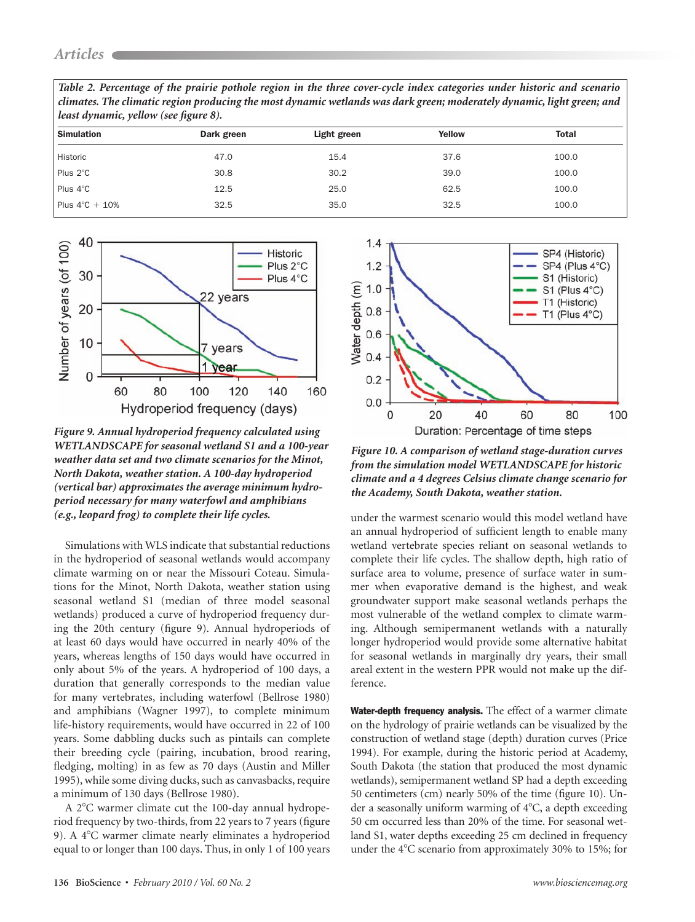*Table 2. Percentage of the prairie pothole region in the three cover-cycle index categories under historic and scenario climates. The climatic region producing the most dynamic wetlands was dark green; moderately dynamic, light green; and least dynamic, yellow (see figure 8).*

| <b>Simulation</b>        | Dark green | Light green | Yellow | <b>Total</b> |  |  |  |
|--------------------------|------------|-------------|--------|--------------|--|--|--|
| Historic                 | 47.0       | 15.4        | 37.6   | 100.0        |  |  |  |
| Plus 2°C                 | 30.8       | 30.2        | 39.0   | 100.0        |  |  |  |
| Plus 4°C                 | 12.5       | 25.0        | 62.5   | 100.0        |  |  |  |
| Plus $4^{\circ}$ C + 10% | 32.5       | 35.0        | 32.5   | 100.0        |  |  |  |
|                          |            |             |        |              |  |  |  |



*Figure 9. Annual hydroperiod frequency calculated using WETLANDSCAPE for seasonal wetland S1 and a 100-year weather data set and two climate scenarios for the Minot, North Dakota, weather station. A 100-day hydroperiod (vertical bar) approximates the average minimum hydroperiod necessary for many waterfowl and amphibians (e.g., leopard frog) to complete their life cycles.*

Simulations with WLS indicate that substantial reductions in the hydroperiod of seasonal wetlands would accompany climate warming on or near the Missouri Coteau. Simulations for the Minot, North Dakota, weather station using seasonal wetland S1 (median of three model seasonal wetlands) produced a curve of hydroperiod frequency during the 20th century (figure 9). Annual hydroperiods of at least 60 days would have occurred in nearly 40% of the years, whereas lengths of 150 days would have occurred in only about 5% of the years. A hydroperiod of 100 days, a duration that generally corresponds to the median value for many vertebrates, including waterfowl (Bellrose 1980) and amphibians (Wagner 1997), to complete minimum life-history requirements, would have occurred in 22 of 100 years. Some dabbling ducks such as pintails can complete their breeding cycle (pairing, incubation, brood rearing, fledging, molting) in as few as 70 days (Austin and Miller 1995), while some diving ducks, such as canvasbacks, require a minimum of 130 days (Bellrose 1980).

A 2<sup>o</sup>C warmer climate cut the 100-day annual hydroperiod frequency by two-thirds, from 22 years to 7 years (figure 9). A 4C warmer climate nearly eliminates a hydroperiod equal to or longer than 100 days. Thus, in only 1 of 100 years



*Figure 10. A comparison of wetland stage-duration curves from the simulation model WETLANDSCAPE for historic climate and a 4 degrees Celsius climate change scenario for the Academy, South Dakota, weather station.* 

under the warmest scenario would this model wetland have an annual hydroperiod of sufficient length to enable many wetland vertebrate species reliant on seasonal wetlands to complete their life cycles. The shallow depth, high ratio of surface area to volume, presence of surface water in summer when evaporative demand is the highest, and weak groundwater support make seasonal wetlands perhaps the most vulnerable of the wetland complex to climate warming. Although semipermanent wetlands with a naturally longer hydroperiod would provide some alternative habitat for seasonal wetlands in marginally dry years, their small areal extent in the western PPR would not make up the difference.

Water-depth frequency analysis. The effect of a warmer climate on the hydrology of prairie wetlands can be visualized by the construction of wetland stage (depth) duration curves (Price 1994). For example, during the historic period at Academy, South Dakota (the station that produced the most dynamic wetlands), semipermanent wetland SP had a depth exceeding 50 centimeters (cm) nearly 50% of the time (figure 10). Under a seasonally uniform warming of  $4^{\circ}C$ , a depth exceeding 50 cm occurred less than 20% of the time. For seasonal wetland S1, water depths exceeding 25 cm declined in frequency under the 4°C scenario from approximately 30% to 15%; for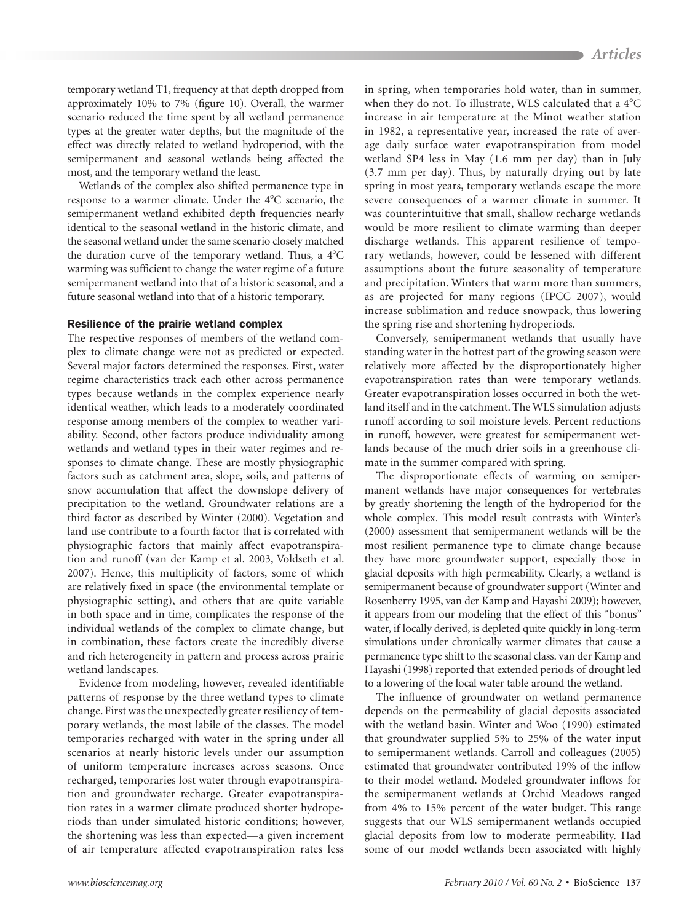temporary wetland T1, frequency at that depth dropped from approximately 10% to 7% (figure 10). Overall, the warmer scenario reduced the time spent by all wetland permanence types at the greater water depths, but the magnitude of the effect was directly related to wetland hydroperiod, with the semipermanent and seasonal wetlands being affected the most, and the temporary wetland the least.

Wetlands of the complex also shifted permanence type in response to a warmer climate. Under the  $4^{\circ}$ C scenario, the semipermanent wetland exhibited depth frequencies nearly identical to the seasonal wetland in the historic climate, and the seasonal wetland under the same scenario closely matched the duration curve of the temporary wetland. Thus, a  $4^{\circ}$ C warming was sufficient to change the water regime of a future semipermanent wetland into that of a historic seasonal, and a future seasonal wetland into that of a historic temporary.

#### Resilience of the prairie wetland complex

The respective responses of members of the wetland complex to climate change were not as predicted or expected. Several major factors determined the responses. First, water regime characteristics track each other across permanence types because wetlands in the complex experience nearly identical weather, which leads to a moderately coordinated response among members of the complex to weather variability. Second, other factors produce individuality among wetlands and wetland types in their water regimes and responses to climate change. These are mostly physiographic factors such as catchment area, slope, soils, and patterns of snow accumulation that affect the downslope delivery of precipitation to the wetland. Groundwater relations are a third factor as described by Winter (2000). Vegetation and land use contribute to a fourth factor that is correlated with physiographic factors that mainly affect evapotranspiration and runoff (van der Kamp et al. 2003, Voldseth et al. 2007). Hence, this multiplicity of factors, some of which are relatively fixed in space (the environmental template or physiographic setting), and others that are quite variable in both space and in time, complicates the response of the individual wetlands of the complex to climate change, but in combination, these factors create the incredibly diverse and rich heterogeneity in pattern and process across prairie wetland landscapes.

Evidence from modeling, however, revealed identifiable patterns of response by the three wetland types to climate change. First was the unexpectedly greater resiliency of temporary wetlands, the most labile of the classes. The model temporaries recharged with water in the spring under all scenarios at nearly historic levels under our assumption of uniform temperature increases across seasons. Once recharged, temporaries lost water through evapotranspiration and groundwater recharge. Greater evapotranspiration rates in a warmer climate produced shorter hydroperiods than under simulated historic conditions; however, the shortening was less than expected—a given increment of air temperature affected evapotranspiration rates less in spring, when temporaries hold water, than in summer, when they do not. To illustrate, WLS calculated that a 4°C increase in air temperature at the Minot weather station in 1982, a representative year, increased the rate of average daily surface water evapotranspiration from model wetland SP4 less in May (1.6 mm per day) than in July (3.7 mm per day). Thus, by naturally drying out by late spring in most years, temporary wetlands escape the more severe consequences of a warmer climate in summer. It was counterintuitive that small, shallow recharge wetlands would be more resilient to climate warming than deeper discharge wetlands. This apparent resilience of temporary wetlands, however, could be lessened with different assumptions about the future seasonality of temperature and precipitation. Winters that warm more than summers, as are projected for many regions (IPCC 2007), would increase sublimation and reduce snowpack, thus lowering the spring rise and shortening hydroperiods.

Conversely, semipermanent wetlands that usually have standing water in the hottest part of the growing season were relatively more affected by the disproportionately higher evapotranspiration rates than were temporary wetlands. Greater evapotranspiration losses occurred in both the wetland itself and in the catchment. The WLS simulation adjusts runoff according to soil moisture levels. Percent reductions in runoff, however, were greatest for semipermanent wetlands because of the much drier soils in a greenhouse climate in the summer compared with spring.

The disproportionate effects of warming on semipermanent wetlands have major consequences for vertebrates by greatly shortening the length of the hydroperiod for the whole complex. This model result contrasts with Winter's (2000) assessment that semipermanent wetlands will be the most resilient permanence type to climate change because they have more groundwater support, especially those in glacial deposits with high permeability. Clearly, a wetland is semipermanent because of groundwater support (Winter and Rosenberry 1995, van der Kamp and Hayashi 2009); however, it appears from our modeling that the effect of this "bonus" water, if locally derived, is depleted quite quickly in long-term simulations under chronically warmer climates that cause a permanence type shift to the seasonal class. van der Kamp and Hayashi (1998) reported that extended periods of drought led to a lowering of the local water table around the wetland.

The influence of groundwater on wetland permanence depends on the permeability of glacial deposits associated with the wetland basin. Winter and Woo (1990) estimated that groundwater supplied 5% to 25% of the water input to semipermanent wetlands. Carroll and colleagues (2005) estimated that groundwater contributed 19% of the inflow to their model wetland. Modeled groundwater inflows for the semipermanent wetlands at Orchid Meadows ranged from 4% to 15% percent of the water budget. This range suggests that our WLS semipermanent wetlands occupied glacial deposits from low to moderate permeability. Had some of our model wetlands been associated with highly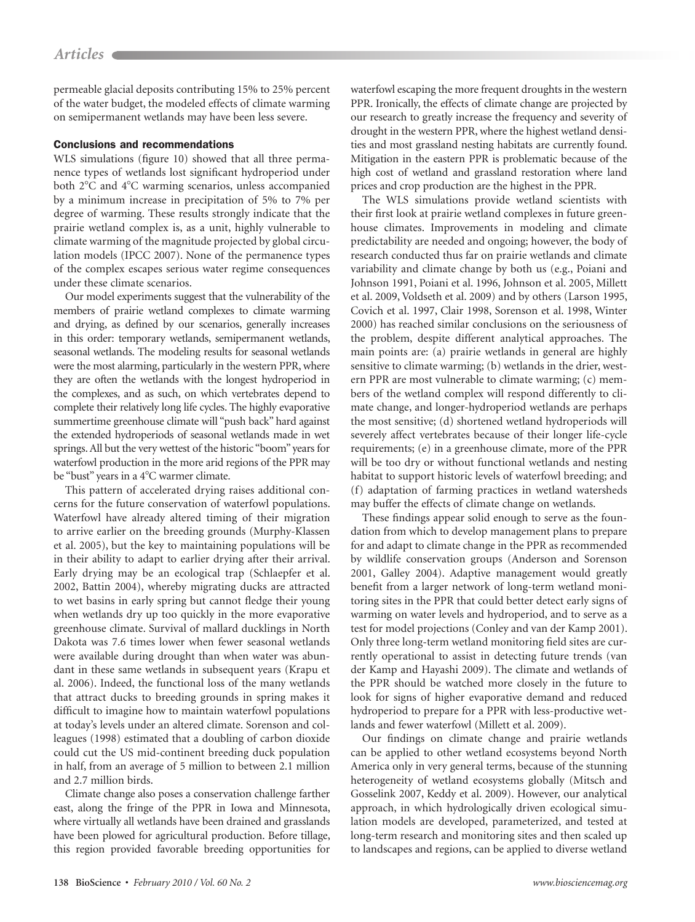permeable glacial deposits contributing 15% to 25% percent of the water budget, the modeled effects of climate warming on semipermanent wetlands may have been less severe.

### Conclusions and recommendations

WLS simulations (figure 10) showed that all three permanence types of wetlands lost significant hydroperiod under both 2°C and 4°C warming scenarios, unless accompanied by a minimum increase in precipitation of 5% to 7% per degree of warming. These results strongly indicate that the prairie wetland complex is, as a unit, highly vulnerable to climate warming of the magnitude projected by global circulation models (IPCC 2007). None of the permanence types of the complex escapes serious water regime consequences under these climate scenarios.

Our model experiments suggest that the vulnerability of the members of prairie wetland complexes to climate warming and drying, as defined by our scenarios, generally increases in this order: temporary wetlands, semipermanent wetlands, seasonal wetlands. The modeling results for seasonal wetlands were the most alarming, particularly in the western PPR, where they are often the wetlands with the longest hydroperiod in the complexes, and as such, on which vertebrates depend to complete their relatively long life cycles. The highly evaporative summertime greenhouse climate will "push back" hard against the extended hydroperiods of seasonal wetlands made in wet springs. All but the very wettest of the historic "boom" years for waterfowl production in the more arid regions of the PPR may be "bust" years in a 4°C warmer climate.

This pattern of accelerated drying raises additional concerns for the future conservation of waterfowl populations. Waterfowl have already altered timing of their migration to arrive earlier on the breeding grounds (Murphy-Klassen et al. 2005), but the key to maintaining populations will be in their ability to adapt to earlier drying after their arrival. Early drying may be an ecological trap (Schlaepfer et al. 2002, Battin 2004), whereby migrating ducks are attracted to wet basins in early spring but cannot fledge their young when wetlands dry up too quickly in the more evaporative greenhouse climate. Survival of mallard ducklings in North Dakota was 7.6 times lower when fewer seasonal wetlands were available during drought than when water was abundant in these same wetlands in subsequent years (Krapu et al. 2006). Indeed, the functional loss of the many wetlands that attract ducks to breeding grounds in spring makes it difficult to imagine how to maintain waterfowl populations at today's levels under an altered climate. Sorenson and colleagues (1998) estimated that a doubling of carbon dioxide could cut the US mid-continent breeding duck population in half, from an average of 5 million to between 2.1 million and 2.7 million birds.

Climate change also poses a conservation challenge farther east, along the fringe of the PPR in Iowa and Minnesota, where virtually all wetlands have been drained and grasslands have been plowed for agricultural production. Before tillage, this region provided favorable breeding opportunities for waterfowl escaping the more frequent droughts in the western PPR. Ironically, the effects of climate change are projected by our research to greatly increase the frequency and severity of drought in the western PPR, where the highest wetland densities and most grassland nesting habitats are currently found. Mitigation in the eastern PPR is problematic because of the high cost of wetland and grassland restoration where land prices and crop production are the highest in the PPR.

The WLS simulations provide wetland scientists with their first look at prairie wetland complexes in future greenhouse climates. Improvements in modeling and climate predictability are needed and ongoing; however, the body of research conducted thus far on prairie wetlands and climate variability and climate change by both us (e.g., Poiani and Johnson 1991, Poiani et al. 1996, Johnson et al. 2005, Millett et al. 2009, Voldseth et al. 2009) and by others (Larson 1995, Covich et al. 1997, Clair 1998, Sorenson et al. 1998, Winter 2000) has reached similar conclusions on the seriousness of the problem, despite different analytical approaches. The main points are: (a) prairie wetlands in general are highly sensitive to climate warming; (b) wetlands in the drier, western PPR are most vulnerable to climate warming; (c) members of the wetland complex will respond differently to climate change, and longer-hydroperiod wetlands are perhaps the most sensitive; (d) shortened wetland hydroperiods will severely affect vertebrates because of their longer life-cycle requirements; (e) in a greenhouse climate, more of the PPR will be too dry or without functional wetlands and nesting habitat to support historic levels of waterfowl breeding; and (f) adaptation of farming practices in wetland watersheds may buffer the effects of climate change on wetlands.

These findings appear solid enough to serve as the foundation from which to develop management plans to prepare for and adapt to climate change in the PPR as recommended by wildlife conservation groups (Anderson and Sorenson 2001, Galley 2004). Adaptive management would greatly benefit from a larger network of long-term wetland monitoring sites in the PPR that could better detect early signs of warming on water levels and hydroperiod, and to serve as a test for model projections (Conley and van der Kamp 2001). Only three long-term wetland monitoring field sites are currently operational to assist in detecting future trends (van der Kamp and Hayashi 2009). The climate and wetlands of the PPR should be watched more closely in the future to look for signs of higher evaporative demand and reduced hydroperiod to prepare for a PPR with less-productive wetlands and fewer waterfowl (Millett et al. 2009).

Our findings on climate change and prairie wetlands can be applied to other wetland ecosystems beyond North America only in very general terms, because of the stunning heterogeneity of wetland ecosystems globally (Mitsch and Gosselink 2007, Keddy et al. 2009). However, our analytical approach, in which hydrologically driven ecological simulation models are developed, parameterized, and tested at long-term research and monitoring sites and then scaled up to landscapes and regions, can be applied to diverse wetland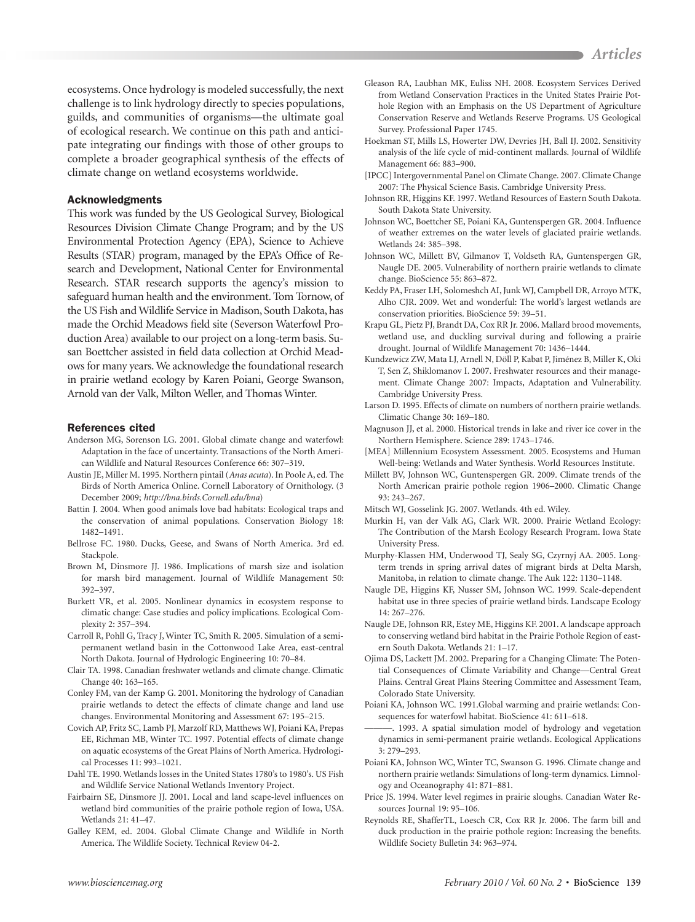ecosystems. Once hydrology is modeled successfully, the next challenge is to link hydrology directly to species populations, guilds, and communities of organisms—the ultimate goal of ecological research. We continue on this path and anticipate integrating our findings with those of other groups to complete a broader geographical synthesis of the effects of climate change on wetland ecosystems worldwide.

#### Acknowledgments

This work was funded by the US Geological Survey, Biological Resources Division Climate Change Program; and by the US Environmental Protection Agency (EPA), Science to Achieve Results (STAR) program, managed by the EPA's Office of Research and Development, National Center for Environmental Research. STAR research supports the agency's mission to safeguard human health and the environment. Tom Tornow, of the US Fish and Wildlife Service in Madison, South Dakota, has made the Orchid Meadows field site (Severson Waterfowl Production Area) available to our project on a long-term basis. Susan Boettcher assisted in field data collection at Orchid Meadows for many years. We acknowledge the foundational research in prairie wetland ecology by Karen Poiani, George Swanson, Arnold van der Valk, Milton Weller, and Thomas Winter.

#### References cited

- Anderson MG, Sorenson LG. 2001. Global climate change and waterfowl: Adaptation in the face of uncertainty. Transactions of the North American Wildlife and Natural Resources Conference 66: 307–319.
- Austin JE, Miller M. 1995. Northern pintail (*Anas acuta*). In Poole A, ed. The Birds of North America Online. Cornell Laboratory of Ornithology. (3 December 2009; *http://bna.birds.Cornell.edu/bna*)
- Battin J. 2004. When good animals love bad habitats: Ecological traps and the conservation of animal populations. Conservation Biology 18: 1482–1491.
- Bellrose FC. 1980. Ducks, Geese, and Swans of North America. 3rd ed. Stackpole.
- Brown M, Dinsmore JJ. 1986. Implications of marsh size and isolation for marsh bird management. Journal of Wildlife Management 50: 392–397.
- Burkett VR, et al. 2005. Nonlinear dynamics in ecosystem response to climatic change: Case studies and policy implications. Ecological Complexity 2: 357–394.
- Carroll R, Pohll G, Tracy J, Winter TC, Smith R. 2005. Simulation of a semipermanent wetland basin in the Cottonwood Lake Area, east-central North Dakota. Journal of Hydrologic Engineering 10: 70–84.
- Clair TA. 1998. Canadian freshwater wetlands and climate change. Climatic Change 40: 163–165.
- Conley FM, van der Kamp G. 2001. Monitoring the hydrology of Canadian prairie wetlands to detect the effects of climate change and land use changes. Environmental Monitoring and Assessment 67: 195–215.
- Covich AP, Fritz SC, Lamb PJ, Marzolf RD, Matthews WJ, Poiani KA, Prepas EE, Richman MB, Winter TC. 1997. Potential effects of climate change on aquatic ecosystems of the Great Plains of North America. Hydrological Processes 11: 993–1021.
- Dahl TE. 1990. Wetlands losses in the United States 1780's to 1980's. US Fish and Wildlife Service National Wetlands Inventory Project.
- Fairbairn SE, Dinsmore JJ. 2001. Local and land scape-level influences on wetland bird communities of the prairie pothole region of Iowa, USA. Wetlands 21: 41–47.
- Galley KEM, ed. 2004. Global Climate Change and Wildlife in North America. The Wildlife Society. Technical Review 04-2.
- Gleason RA, Laubhan MK, Euliss NH. 2008. Ecosystem Services Derived from Wetland Conservation Practices in the United States Prairie Pothole Region with an Emphasis on the US Department of Agriculture Conservation Reserve and Wetlands Reserve Programs. US Geological Survey. Professional Paper 1745.
- Hoekman ST, Mills LS, Howerter DW, Devries JH, Ball IJ. 2002. Sensitivity analysis of the life cycle of mid-continent mallards. Journal of Wildlife Management 66: 883–900.
- [IPCC] Intergovernmental Panel on Climate Change. 2007. Climate Change 2007: The Physical Science Basis. Cambridge University Press.
- Johnson RR, Higgins KF. 1997. Wetland Resources of Eastern South Dakota. South Dakota State University.
- Johnson WC, Boettcher SE, Poiani KA, Guntenspergen GR. 2004. Influence of weather extremes on the water levels of glaciated prairie wetlands. Wetlands 24: 385–398.
- Johnson WC, Millett BV, Gilmanov T, Voldseth RA, Guntenspergen GR, Naugle DE. 2005. Vulnerability of northern prairie wetlands to climate change. BioScience 55: 863–872.
- Keddy PA, Fraser LH, Solomeshch AI, Junk WJ, Campbell DR, Arroyo MTK, Alho CJR. 2009. Wet and wonderful: The world's largest wetlands are conservation priorities. BioScience 59: 39–51.
- Krapu GL, Pietz PJ, Brandt DA, Cox RR Jr. 2006. Mallard brood movements, wetland use, and duckling survival during and following a prairie drought. Journal of Wildlife Management 70: 1436–1444.
- Kundzewicz ZW, Mata LJ, Arnell N, Döll P, Kabat P, Jiménez B, Miller K, Oki T, Sen Z, Shiklomanov I. 2007. Freshwater resources and their management. Climate Change 2007: Impacts, Adaptation and Vulnerability. Cambridge University Press.
- Larson D. 1995. Effects of climate on numbers of northern prairie wetlands. Climatic Change 30: 169–180.
- Magnuson JJ, et al. 2000. Historical trends in lake and river ice cover in the Northern Hemisphere. Science 289: 1743–1746.
- [MEA] Millennium Ecosystem Assessment. 2005. Ecosystems and Human Well-being: Wetlands and Water Synthesis. World Resources Institute.
- Millett BV, Johnson WC, Guntenspergen GR. 2009. Climate trends of the North American prairie pothole region 1906–2000. Climatic Change 93: 243–267.
- Mitsch WJ, Gosselink JG. 2007. Wetlands. 4th ed. Wiley.
- Murkin H, van der Valk AG, Clark WR. 2000. Prairie Wetland Ecology: The Contribution of the Marsh Ecology Research Program. Iowa State University Press.
- Murphy-Klassen HM, Underwood TJ, Sealy SG, Czyrnyj AA. 2005. Longterm trends in spring arrival dates of migrant birds at Delta Marsh, Manitoba, in relation to climate change. The Auk 122: 1130–1148.
- Naugle DE, Higgins KF, Nusser SM, Johnson WC. 1999. Scale-dependent habitat use in three species of prairie wetland birds. Landscape Ecology 14: 267–276.
- Naugle DE, Johnson RR, Estey ME, Higgins KF. 2001. A landscape approach to conserving wetland bird habitat in the Prairie Pothole Region of eastern South Dakota. Wetlands 21: 1–17.
- Ojima DS, Lackett JM. 2002. Preparing for a Changing Climate: The Potential Consequences of Climate Variability and Change—Central Great Plains. Central Great Plains Steering Committee and Assessment Team, Colorado State University.
- Poiani KA, Johnson WC. 1991.Global warming and prairie wetlands: Consequences for waterfowl habitat. BioScience 41: 611–618.
- ———. 1993. A spatial simulation model of hydrology and vegetation dynamics in semi-permanent prairie wetlands. Ecological Applications 3: 279–293.
- Poiani KA, Johnson WC, Winter TC, Swanson G. 1996. Climate change and northern prairie wetlands: Simulations of long-term dynamics. Limnology and Oceanography 41: 871–881.
- Price JS. 1994. Water level regimes in prairie sloughs. Canadian Water Resources Journal 19: 95–106.
- Reynolds RE, ShafferTL, Loesch CR, Cox RR Jr. 2006. The farm bill and duck production in the prairie pothole region: Increasing the benefits. Wildlife Society Bulletin 34: 963–974.